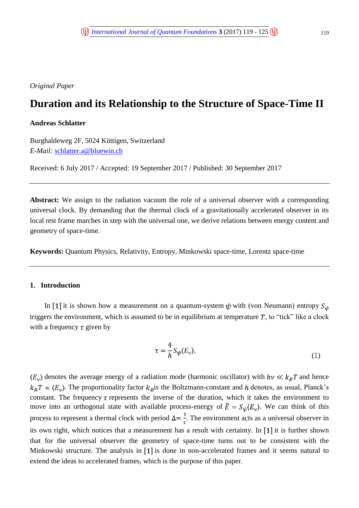*Original Paper*

# **Duration and its Relationship to the Structure of Space-Time II**

# **Andreas Schlatter**

Burghaldeweg 2F, 5024 Küttigen, Switzerland *E-Mail:* [schlatter.a@bluewin.ch](mailto:schlatter.a@bluewin.ch)

Received: 6 July 2017 / Accepted: 19 September 2017 / Published: 30 September 2017

**Abstract:** We assign to the radiation vacuum the role of a universal observer with a corresponding universal clock. By demanding that the thermal clock of a gravitationally accelerated observer in its local rest frame marches in step with the universal one, we derive relations between energy content and geometry of space-time.

**Keywords:** Quantum Physics, Relativity, Entropy, Minkowski space-time, Lorentz space-time

## **1. Introduction**

In [1] it is shown how a measurement on a quantum-system  $\psi$  with (von Neumann) entropy  $S_{\psi}$ triggers the environment, which is assumed to be in equilibrium at temperature  $T$ , to "tick" like a clock with a frequency  $\tau$  given by

$$
\tau = \frac{4}{h} S_{\psi} \langle E_{\nu} \rangle. \tag{1}
$$

 $\langle E_{\nu} \rangle$  denotes the average energy of a radiation mode (harmonic oscillator) with  $h\nu \ll k_B T$  and hence  $k_B T \approx \langle E_v \rangle$ . The proportionality factor  $k_B$  is the Boltzmann-constant and h denotes, as usual, Planck's constant. The frequency  $\tau$  represents the inverse of the duration, which it takes the environment to move into an orthogonal state with available process-energy of  $\overline{E} = S_{\psi}(E_{\nu})$ . We can think of this process to represent a thermal clock with period  $\Delta = \frac{1}{\tau}$ . The environment acts as a universal observer in its own right, which notices that a measurement has a result with certainty. In  $\lceil 1 \rceil$  it is further shown that for the universal observer the geometry of space-time turns out to be consistent with the Minkowski structure. The analysis in  $[1]$  is done in non-accelerated frames and it seems natural to extend the ideas to accelerated frames, which is the purpose of this paper.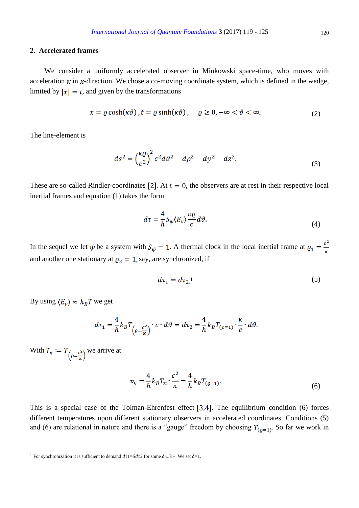## **2. Accelerated frames**

We consider a uniformly accelerated observer in Minkowski space-time, who moves with acceleration  $\kappa$  in  $x$ -direction. We chose a co-moving coordinate system, which is defined in the wedge, limited by  $|x| = t$ , and given by the transformations

$$
x = \varrho \cosh(\kappa \vartheta), t = \varrho \sinh(\kappa \vartheta), \quad \varrho \ge 0, -\infty < \vartheta < \infty. \tag{2}
$$

The line-element is

$$
ds^{2} = \left(\frac{\kappa \varrho}{c^{2}}\right)^{2} c^{2} d\vartheta^{2} - d\rho^{2} - dy^{2} - dz^{2}.
$$
 (3)

These are so-called Rindler-coordinates [2]. At  $t = 0$ , the observers are at rest in their respective local inertial frames and equation (1) takes the form

$$
d\tau = -\frac{4}{h} S_{\psi} \langle E_{\nu} \rangle \frac{\kappa \varrho}{c} d\vartheta. \tag{4}
$$

In the sequel we let  $\psi$  be a system with  $S_{\psi} = 1$ . A thermal clock in the local inertial frame at  $\varrho_1 = \frac{c^2}{\kappa}$ and another one stationary at  $\rho_2 = 1$ , say, are synchronized, if

$$
d\tau_1 = d\tau_2.1\tag{5}
$$

By using  $\langle E_v \rangle \approx k_B T$  we get

$$
d\tau_1 = \frac{4}{h} k_B T_{\left(\varrho = \frac{c^2}{\kappa}\right)} \cdot c \cdot d\vartheta = d\tau_2 = \frac{4}{h} k_B T_{\left(\varrho = 1\right)} \cdot \frac{\kappa}{c} \cdot d\vartheta.
$$

With  $T_{\kappa} := T_{\left(\varrho = \frac{c^2}{\kappa}\right)}$  we arrive at

 $\overline{a}$ 

$$
v_{\kappa} = \frac{4}{h} k_B T_{\kappa} \cdot \frac{c^2}{\kappa} = \frac{4}{h} k_B T_{(g=1)}.
$$
 (6)

This is a special case of the Tolman-Ehrenfest effect  $[3,4]$ . The equilibrium condition (6) forces different temperatures upon different stationary observers in accelerated coordinates. Conditions (5) and (6) are relational in nature and there is a "gauge" freedom by choosing  $T_{(p=1)}$ . So far we work in

<sup>&</sup>lt;sup>1</sup> For synchronization it is sufficient to demand  $d\tau$ 1= $\delta d\tau$ 2 for some  $\delta \in \mathbb{R}^+$ . We set  $\delta = 1$ .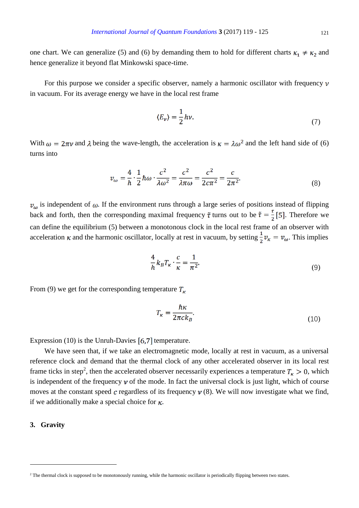one chart. We can generalize (5) and (6) by demanding them to hold for different charts  $\kappa_1 \neq \kappa_2$  and hence generalize it beyond flat Minkowski space-time.

For this purpose we consider a specific observer, namely a harmonic oscillator with frequency  $\nu$ in vacuum. For its average energy we have in the local rest frame

$$
\langle E_{\nu} \rangle = \frac{1}{2} h \nu. \tag{7}
$$

With  $\omega = 2\pi\nu$  and  $\lambda$  being the wave-length, the acceleration is  $\kappa = \lambda \omega^2$  and the left hand side of (6) turns into

$$
\varphi_{\omega} = \frac{4}{h} \cdot \frac{1}{2} \hbar \omega \cdot \frac{c^2}{\lambda \omega^2} = \frac{c^2}{\lambda \pi \omega} = \frac{c^2}{2c\pi^2} = \frac{c}{2\pi^2}.
$$
 (8)

 $v_{\omega}$  is independent of  $\omega$ . If the environment runs through a large series of positions instead of flipping back and forth, then the corresponding maximal frequency  $\tilde{\tau}$  turns out to be  $\tilde{\tau} = \frac{\tau}{2}$  [5]. Therefore we can define the equilibrium (5) between a monotonous clock in the local rest frame of an observer with acceleration  $\kappa$  and the harmonic oscillator, locally at rest in vacuum, by setting  $\frac{1}{2}v_{\kappa} = v_{\omega}$ . This implies

$$
\frac{4}{h}k_B T_{\kappa} \cdot \frac{c}{\kappa} = \frac{1}{\pi^2}.
$$
\n(9)

From (9) we get for the corresponding temperature  $T_{\kappa}$ 

$$
T_{\kappa} = \frac{\hbar \kappa}{2\pi c k_B}.
$$
\n(10)

Expression (10) is the Unruh-Davies  $[6,7]$  temperature.

We have seen that, if we take an electromagnetic mode, locally at rest in vacuum, as a universal reference clock and demand that the thermal clock of any other accelerated observer in its local rest frame ticks in step<sup>2</sup>, then the accelerated observer necessarily experiences a temperature  $T_{\kappa} > 0$ , which is independent of the frequency  $\nu$  of the mode. In fact the universal clock is just light, which of course moves at the constant speed c regardless of its frequency  $\nu$  (8). We will now investigate what we find, if we additionally make a special choice for  $\kappa$ .

#### **3. Gravity**

<sup>&</sup>lt;sup>2</sup> The thermal clock is supposed to be monotonously running, while the harmonic oscillator is periodically flipping between two states.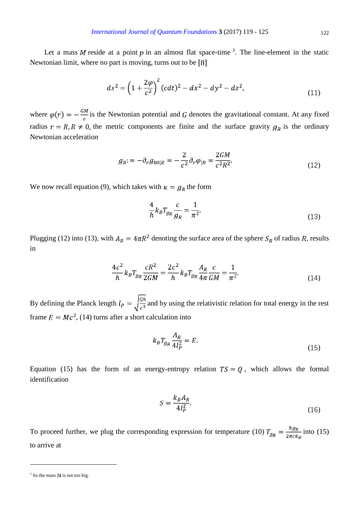Let a mass M reside at a point p in an almost flat space-time <sup>3</sup>. The line-element in the static Newtonian limit, where no part is moving, turns out to be [8]

$$
ds^{2} = \left(1 + \frac{2\varphi}{c^{2}}\right)^{2} (cdt)^{2} - dx^{2} - dy^{2} - dz^{2},
$$
\n(11)

where  $\varphi(r) = -\frac{GM}{r}$  is the Newtonian potential and G denotes the gravitational constant. At any fixed radius  $r = R, R \neq 0$ , the metric components are finite and the surface gravity  $g_R$  is the ordinary Newtonian acceleration

$$
g_R = -\partial_r g_{00|R} = -\frac{2}{c^2} \partial_r \varphi_{|R} = \frac{2GM}{c^2 R^2}.
$$
 (12)

We now recall equation (9), which takes with  $\kappa = g_R$  the form

$$
\frac{4}{h}k_B T_{g_R} \frac{c}{g_R} = \frac{1}{\pi^2}.
$$
\n(13)

Plugging (12) into (13), with  $A_R = 4\pi R^2$  denoting the surface area of the sphere  $S_R$  of radius R, results in

$$
\frac{4c^2}{h}k_B T_{g_R} \frac{cR^2}{2GM} = \frac{2c^2}{h}k_B T_{g_R} \frac{A_R}{4\pi} \frac{c}{GM} = \frac{1}{\pi^2}.
$$
\n(14)

By defining the Planck length  $l_p = \sqrt{\frac{G\hbar}{c^3}}$  and by using the relativistic relation for total energy in the rest frame  $E = Mc^2$ , (14) turns after a short calculation into

$$
k_B T_{g_R} \frac{A_R}{4l_P^2} = E. \tag{15}
$$

Equation (15) has the form of an energy-entropy relation  $TS = Q$ , which allows the formal identification

$$
S = \frac{k_B A_R}{4l_P^2}.\tag{16}
$$

To proceed further, we plug the corresponding expression for temperature (10)  $T_{g_R} = \frac{\hbar g_R}{2\pi c k_B}$  into (15) to arrive at

 $3$  So the mass *M* is not too big.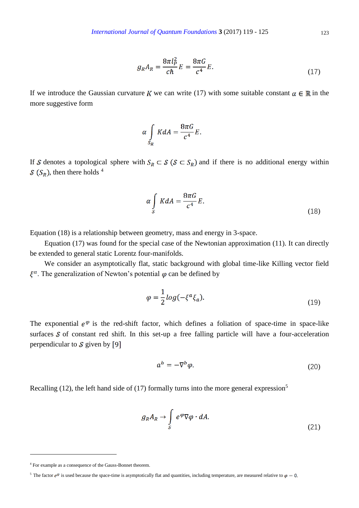$$
g_R A_R = \frac{8\pi l_P^2}{c\hbar} E = \frac{8\pi G}{c^4} E.
$$
\n(17)

If we introduce the Gaussian curvature K we can write (17) with some suitable constant  $\alpha \in \mathbb{R}$  in the more suggestive form

$$
\alpha \int\limits_{S_R} K dA = \frac{8\pi G}{c^4} E.
$$

If S denotes a topological sphere with  $S_R \subset S$  ( $S \subset S_R$ ) and if there is no additional energy within  $S(S_R)$ , then there holds <sup>4</sup>

$$
\alpha \int_{\mathcal{S}} K dA = \frac{8\pi G}{c^4} E. \tag{18}
$$

Equation (18) is a relationship between geometry, mass and energy in 3-space.

Equation (17) was found for the special case of the Newtonian approximation (11). It can directly be extended to general static Lorentz four-manifolds.

We consider an asymptotically flat, static background with global time-like Killing vector field  $\xi^a$ . The generalization of Newton's potential  $\varphi$  can be defined by

$$
\varphi = \frac{1}{2} \log(-\xi^a \xi_a). \tag{19}
$$

The exponential  $e^{\varphi}$  is the red-shift factor, which defines a foliation of space-time in space-like surfaces  $S$  of constant red shift. In this set-up a free falling particle will have a four-acceleration perpendicular to  $S$  given by [9]

$$
a^b = -\nabla^b \varphi. \tag{20}
$$

Recalling (12), the left hand side of (17) formally turns into the more general expression<sup>5</sup>

$$
g_R A_R \to \int\limits_{\mathcal{S}} e^{\varphi} \nabla \varphi \cdot dA. \tag{21}
$$

<sup>4</sup> For example as a consequence of the Gauss-Bonnet theorem.

<sup>&</sup>lt;sup>5</sup> The factor  $e^{\varphi}$  is used because the space-time is asymptotically flat and quantities, including temperature, are measured relative to  $\varphi = 0$ .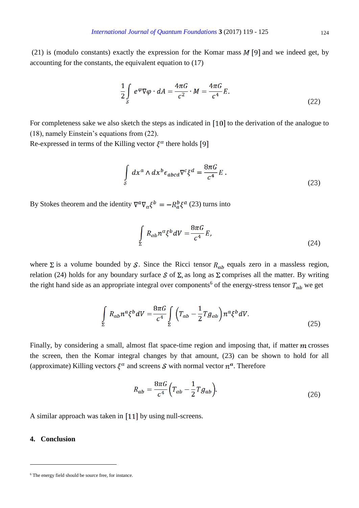(21) is (modulo constants) exactly the expression for the Komar mass  $M$  [9] and we indeed get, by accounting for the constants, the equivalent equation to (17)

$$
\frac{1}{2} \int_{S} e^{\varphi} \nabla \varphi \cdot dA = \frac{4\pi G}{c^2} \cdot M = \frac{4\pi G}{c^4} E.
$$
\n(22)

For completeness sake we also sketch the steps as indicated in  $\lceil 10 \rceil$  to the derivation of the analogue to (18), namely Einstein's equations from (22).

Re-expressed in terms of the Killing vector  $\xi^a$  there holds [9]

$$
\int_{S} dx^{a} \wedge dx^{b} \epsilon_{abcd} \nabla^{c} \xi^{d} = \frac{8\pi G}{c^{4}} E.
$$
\n(23)

By Stokes theorem and the identity  $\nabla^a \nabla_a \xi^b = -R_a^b \xi^a$  (23) turns into

$$
\int_{\Sigma} R_{ab} n^a \xi^b dV = \frac{8\pi G}{c^4} E,\tag{24}
$$

where  $\Sigma$  is a volume bounded by S. Since the Ricci tensor  $R_{ab}$  equals zero in a massless region, relation (24) holds for any boundary surface  $S$  of  $\Sigma$ , as long as  $\Sigma$  comprises all the matter. By writing the right hand side as an appropriate integral over components<sup>6</sup> of the energy-stress tensor  $T_{ab}$  we get

$$
\int_{\Sigma} R_{ab} n^a \xi^b dV = \frac{8\pi G}{c^4} \int_{\Sigma} \left( T_{ab} - \frac{1}{2} T g_{ab} \right) n^a \xi^b dV. \tag{25}
$$

Finally, by considering a small, almost flat space-time region and imposing that, if matter  $m$  crosses the screen, then the Komar integral changes by that amount, (23) can be shown to hold for all (approximate) Killing vectors  $\xi^a$  and screens S with normal vector  $n^a$ . Therefore

$$
R_{ab} = \frac{8\pi G}{c^4} \left( T_{ab} - \frac{1}{2} T g_{ab} \right).
$$
 (26)

A similar approach was taken in  $\left[11\right]$  by using null-screens.

#### **4. Conclusion**

<sup>&</sup>lt;sup>6</sup> The energy field should be source free, for instance.